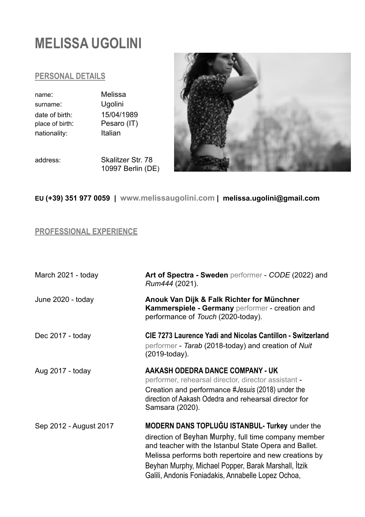# **MELISSA UGOLINI**

#### **PERSONAL DETAILS**

name: Melissa surname: Ugolini date of birth: 15/04/1989 place of birth: Pesaro (IT) nationality: Italian

address: Skalitzer Str. 78 10997 Berlin (DE)



**EU (+39) 351 977 0059 | www.melissaugolini.com |**&&**melissa.ugolini@gmail.com** 

## **PROFESSIONAL EXPERIENCE**

| March 2021 - today     | Art of Spectra - Sweden performer - CODE (2022) and<br>Rum444 (2021).                                                                                                                                                                                                                                                                  |
|------------------------|----------------------------------------------------------------------------------------------------------------------------------------------------------------------------------------------------------------------------------------------------------------------------------------------------------------------------------------|
| June 2020 - today      | Anouk Van Dijk & Falk Richter for Münchner<br>Kammerspiele - Germany performer - creation and<br>performance of Touch (2020-today).                                                                                                                                                                                                    |
| Dec 2017 - today       | <b>CIE 7273 Laurence Yadi and Nicolas Cantillon - Switzerland</b><br>performer - Tarab (2018-today) and creation of Nuit<br>(2019-today).                                                                                                                                                                                              |
| Aug 2017 - today       | AAKASH ODEDRA DANCE COMPANY - UK<br>performer, rehearsal director, director assistant -<br>Creation and performance #Jesuis (2018) under the<br>direction of Aakash Odedra and rehearsal director for<br>Samsara (2020).                                                                                                               |
| Sep 2012 - August 2017 | MODERN DANS TOPLUĞU ISTANBUL- Turkey under the<br>direction of Beyhan Murphy, full time company member<br>and teacher with the Istanbul State Opera and Ballet.<br>Melissa performs both repertoire and new creations by<br>Beyhan Murphy, Michael Popper, Barak Marshall, İtzik<br>Galili, Andonis Foniadakis, Annabelle Lopez Ochoa, |